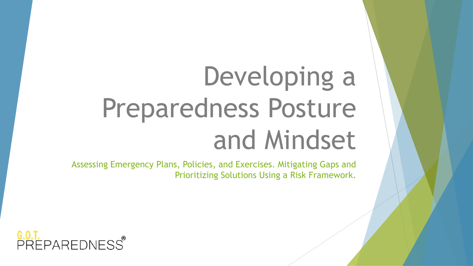# Developing a Preparedness Posture and Mindset

Assessing Emergency Plans, Policies, and Exercises. Mitigating Gaps and Prioritizing Solutions Using a Risk Framework.

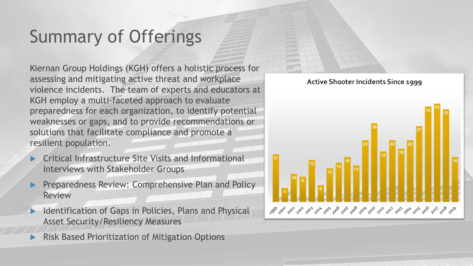# Summary of Offerings

Kiernan Group Holdings (KGH) offers a holistic process for assessing and mitigating active threat and workplace violence incidents. The team of experts and educators at KGH employ a multi-faceted approach to evaluate preparedness for each organization, to identify potential weaknesses or gaps, and to provide recommendations or solutions that facilitate compliance and promote a resilient population.

- Critical Infrastructure Site Visits and Informational Interviews with Stakeholder Groups
- Preparedness Review: Comprehensive Plan and Policy Review
- Identification of Gaps in Policies, Plans and Physical Asset Security/Resiliency Measures
- Risk Based Prioritization of Mitigation Options



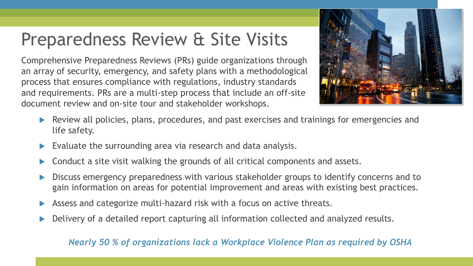### Preparedness Review & Site Visits

Comprehensive Preparedness Reviews (PRs) guide organizations through an array of security, emergency, and safety plans with a methodological process that ensures compliance with regulations, industry standards and requirements. PRs are a multi-step process that include an off-site document review and on-site tour and stakeholder workshops.



- **EXECT** Review all policies, plans, procedures, and past exercises and trainings for emergencies and life safety.
- Evaluate the surrounding area via research and data analysis.
- Conduct a site visit walking the grounds of all critical components and assets.
- Discuss emergency preparedness with various stakeholder groups to identify concerns and to gain information on areas for potential improvement and areas with existing best practices.
- Assess and categorize multi-hazard risk with a focus on active threats.
- Delivery of a detailed report capturing all information collected and analyzed results.

#### *Nearly 50 % of organizations lack a Workplace Violence Plan as required by OSHA*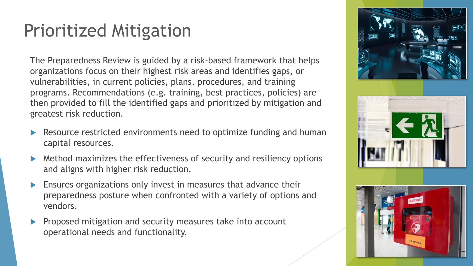### Prioritized Mitigation

The Preparedness Review is guided by a risk-based framework that helps organizations focus on their highest risk areas and identifies gaps, or vulnerabilities, in current policies, plans, procedures, and training programs. Recommendations (e.g. training, best practices, policies) are then provided to fill the identified gaps and prioritized by mitigation and greatest risk reduction.

- Resource restricted environments need to optimize funding and human capital resources.
- Method maximizes the effectiveness of security and resiliency options and aligns with higher risk reduction.
- Ensures organizations only invest in measures that advance their preparedness posture when confronted with a variety of options and vendors.
- Proposed mitigation and security measures take into account operational needs and functionality.

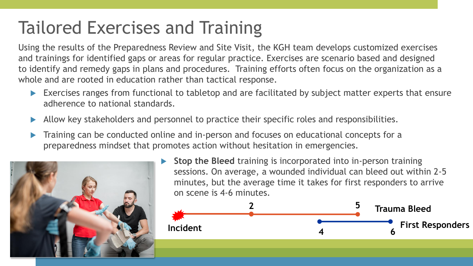# Tailored Exercises and Training

Using the results of the Preparedness Review and Site Visit, the KGH team develops customized exercises and trainings for identified gaps or areas for regular practice. Exercises are scenario based and designed to identify and remedy gaps in plans and procedures. Training efforts often focus on the organization as a whole and are rooted in education rather than tactical response.

- Exercises ranges from functional to tabletop and are facilitated by subject matter experts that ensure adherence to national standards.
- Allow key stakeholders and personnel to practice their specific roles and responsibilities.
- Training can be conducted online and in-person and focuses on educational concepts for a preparedness mindset that promotes action without hesitation in emergencies.



 **Stop the Bleed** training is incorporated into in-person training sessions. On average, a wounded individual can bleed out within 2-5 minutes, but the average time it takes for first responders to arrive on scene is 4-6 minutes.